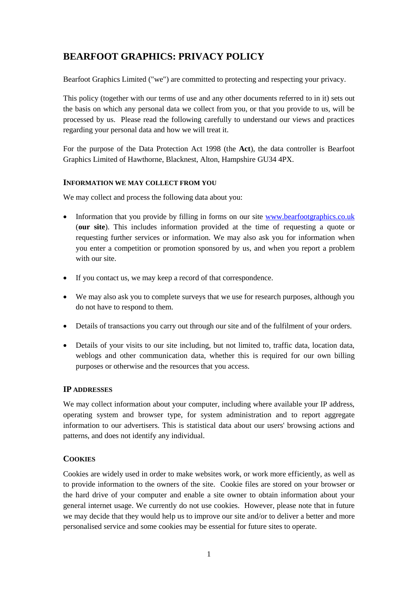# **BEARFOOT GRAPHICS: PRIVACY POLICY**

Bearfoot Graphics Limited ("we") are committed to protecting and respecting your privacy.

This policy (together with our [terms of use](http://bearfoot-graphics.co.uk/wp-content/uploads/Bearfoot-Graphics-Website-Terms-of-Use-v0.3.pdf) and any other documents referred to in it) sets out the basis on which any personal data we collect from you, or that you provide to us, will be processed by us. Please read the following carefully to understand our views and practices regarding your personal data and how we will treat it.

For the purpose of the Data Protection Act 1998 (the **Act**), the data controller is Bearfoot Graphics Limited of Hawthorne, Blacknest, Alton, Hampshire GU34 4PX.

# **INFORMATION WE MAY COLLECT FROM YOU**

We may collect and process the following data about you:

- Information that you provide by filling in forms on our site [www.bearfootgraphics.co.uk](http://www.bearfootgraphics.co.uk/) (**our site**). This includes information provided at the time of requesting a quote or requesting further services or information. We may also ask you for information when you enter a competition or promotion sponsored by us, and when you report a problem with our site.
- If you contact us, we may keep a record of that correspondence.
- We may also ask you to complete surveys that we use for research purposes, although you do not have to respond to them.
- Details of transactions you carry out through our site and of the fulfilment of your orders.
- Details of your visits to our site including, but not limited to, traffic data, location data, weblogs and other communication data, whether this is required for our own billing purposes or otherwise and the resources that you access.

# **IP ADDRESSES**

We may collect information about your computer, including where available your IP address, operating system and browser type, for system administration and to report aggregate information to our advertisers. This is statistical data about our users' browsing actions and patterns, and does not identify any individual.

# **COOKIES**

Cookies are widely used in order to make websites work, or work more efficiently, as well as to provide information to the owners of the site. Cookie files are stored on your browser or the hard drive of your computer and enable a site owner to obtain information about your general internet usage. We currently do not use cookies. However, please note that in future we may decide that they would help us to improve our site and/or to deliver a better and more personalised service and some cookies may be essential for future sites to operate.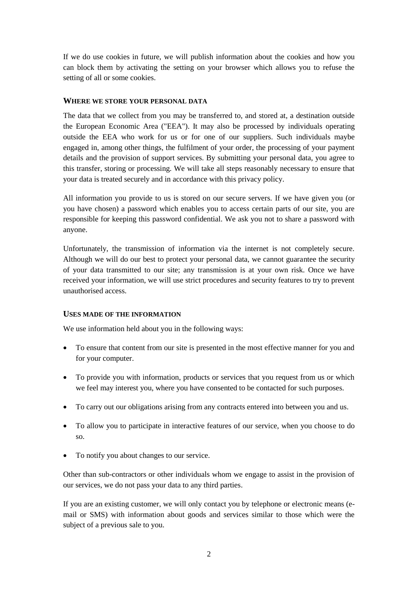If we do use cookies in future, we will publish information about the cookies and how you can block them by activating the setting on your browser which allows you to refuse the setting of all or some cookies.

#### **WHERE WE STORE YOUR PERSONAL DATA**

The data that we collect from you may be transferred to, and stored at, a destination outside the European Economic Area ("EEA"). It may also be processed by individuals operating outside the EEA who work for us or for one of our suppliers. Such individuals maybe engaged in, among other things, the fulfilment of your order, the processing of your payment details and the provision of support services. By submitting your personal data, you agree to this transfer, storing or processing. We will take all steps reasonably necessary to ensure that your data is treated securely and in accordance with this privacy policy.

All information you provide to us is stored on our secure servers. If we have given you (or you have chosen) a password which enables you to access certain parts of our site, you are responsible for keeping this password confidential. We ask you not to share a password with anyone.

Unfortunately, the transmission of information via the internet is not completely secure. Although we will do our best to protect your personal data, we cannot guarantee the security of your data transmitted to our site; any transmission is at your own risk. Once we have received your information, we will use strict procedures and security features to try to prevent unauthorised access.

#### **USES MADE OF THE INFORMATION**

We use information held about you in the following ways:

- To ensure that content from our site is presented in the most effective manner for you and for your computer.
- To provide you with information, products or services that you request from us or which we feel may interest you, where you have consented to be contacted for such purposes.
- To carry out our obligations arising from any contracts entered into between you and us.
- To allow you to participate in interactive features of our service, when you choose to do so.
- To notify you about changes to our service.

Other than sub-contractors or other individuals whom we engage to assist in the provision of our services, we do not pass your data to any third parties.

If you are an existing customer, we will only contact you by telephone or electronic means (email or SMS) with information about goods and services similar to those which were the subject of a previous sale to you.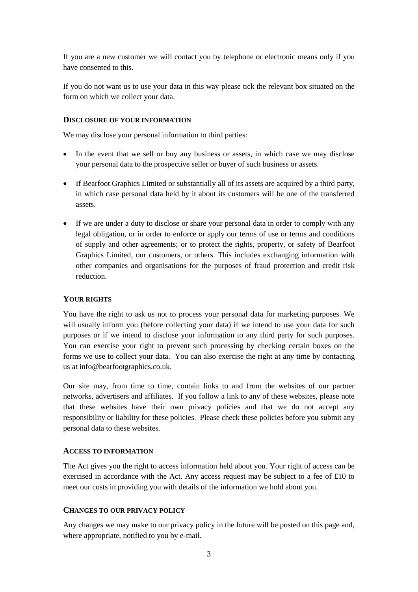If you are a new customer we will contact you by telephone or electronic means only if you have consented to this.

If you do not want us to use your data in this way please tick the relevant box situated on the form on which we collect your data.

#### **DISCLOSURE OF YOUR INFORMATION**

We may disclose your personal information to third parties:

- In the event that we sell or buy any business or assets, in which case we may disclose your personal data to the prospective seller or buyer of such business or assets.
- If Bearfoot Graphics Limited or substantially all of its assets are acquired by a third party, in which case personal data held by it about its customers will be one of the transferred assets.
- If we are under a duty to disclose or share your personal data in order to comply with any legal obligation, or in order to enforce or apply our terms [of use](http://bearfoot-graphics.co.uk/wp-content/uploads/Bearfoot-Graphics-Website-Terms-of-Use-v0.3.pdf) or terms and conditions [of supply and other agreements; or to protect the rights, property, or safety of](http://bearfoot-graphics.co.uk/wp-content/uploads/Bearfoot-Graphics-Limited-Terms-and-Conditions-of-Supply-v0.2.pdf) Bearfoot Graphics Limited, our customers, or others. This includes exchanging information with other companies and organisations for the purposes of fraud protection and credit risk reduction.

# **YOUR RIGHTS**

You have the right to ask us not to process your personal data for marketing purposes. We will usually inform you (before collecting your data) if we intend to use your data for such purposes or if we intend to disclose your information to any third party for such purposes. You can exercise your right to prevent such processing by checking certain boxes on the forms we use to collect your data. You can also exercise the right at any time by contacting us at info@bearfootgraphics.co.uk.

Our site may, from time to time, contain links to and from the websites of our partner networks, advertisers and affiliates. If you follow a link to any of these websites, please note that these websites have their own privacy policies and that we do not accept any responsibility or liability for these policies. Please check these policies before you submit any personal data to these websites.

#### **ACCESS TO INFORMATION**

The Act gives you the right to access information held about you. Your right of access can be exercised in accordance with the Act. Any access request may be subject to a fee of £10 to meet our costs in providing you with details of the information we hold about you.

#### **CHANGES TO OUR PRIVACY POLICY**

Any changes we may make to our privacy policy in the future will be posted on this page and, where appropriate, notified to you by e-mail.